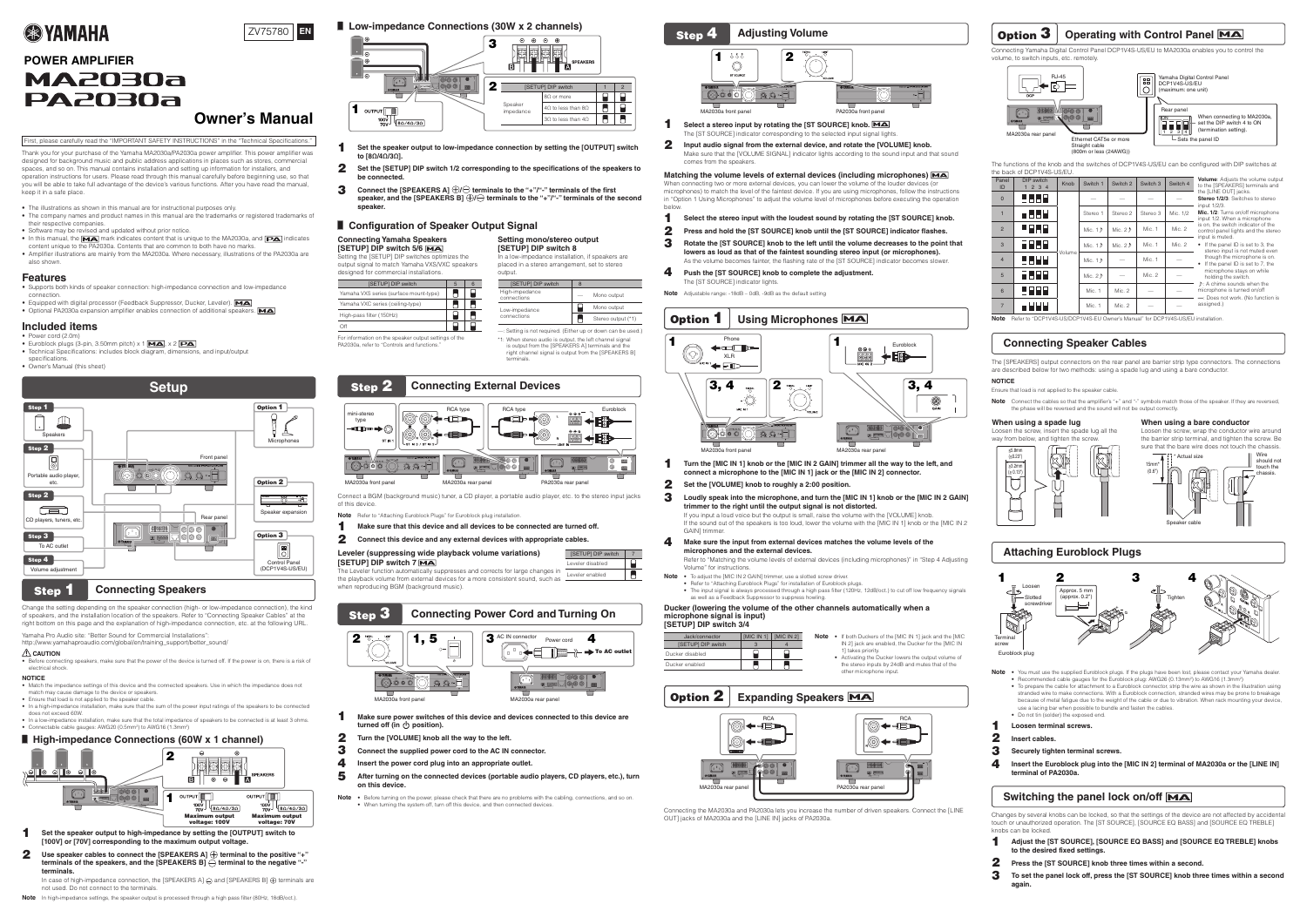## **Features**

- Supports both kinds of speaker connection: high-impedance connection and low-impedance .connection
- Equipped with digital processor (Feedback Suppressor, Ducker, Leveler). MA • Optional PA2030a expansion amplifier enables connection of additional speakers. MA

## **included** items

- Power cord  $(2.0$ m • Euroblock plugs (3-pin, 3.50 mm pitch)  $\times$  1  $MA$ ,  $\times$  2  $PA$
- Technical Specifications: includes block diagram, dimensions, and input/output specifications.
- Owner's Manual (this sheet)



# **Step 1** Connecting Speakers

Change the setting depending on the speaker connection (high- or low-impedance connection), the kind of speakers, and the installation location of the speakers. Refer to "Connecting Speaker Cables" at the right bottom on this page and the explanation of high-impedance connection, etc. at the following URL

Yamaha Pro Audio site: "Better Sound for Commercial Installations":

http://www.yamahaproaudio.com/global/en/training\_support/better\_sound/

## **LAUTION**

• Before connecting speakers, make sure that the power of the device is turned off. If the power is on, there is a risk of electrical shock.

- Set the speaker output to high-impedance by setting the [OUTPUT] switch to 1 [100V] or [70V] corresponding to the maximum output voltage
- **Use speaker cables to connect the [SPEAKERS A]**  $\oplus$  **terminal to the positive "+"**  2  **terminals of the speakers, and the [SPEAKERS B]**  $\ominus$  **terminal to the negative "-" .terminals**

In case of high-impedance connection, the [SPEAKERS A]  $\ominus$  and [SPEAKERS B]  $\oplus$  terminals are not used. Do not connect to the terminals.

Note In high-impedance settings, the speaker output is processed through a high pass filter (80Hz, 18dB/oct.).

# **■ Low-impedance Connections (30W x 2 channels)**

- Set the speaker output to low-impedance connection by setting the [OUTPUT] switch 1 **to** [8Ω/4Ω/3Ω].
- **2** Set the [SETUP] DIP switch 1/2 corresponding to the specifications of the speakers to **.connected be**
- Connect the [SPEAKERS A]  $\bigoplus$  terminals to the "+"/"-" terminals of the first 3 speaker, and the [SPEAKERS B]  $\bigoplus$  **example 1 of the "+"/"-"** terminals of the second **.speaker**

output.

**Setting mono/stereo output [SETUP] DIP switch 8** 

[SETUP] DIP switch

High-impedance

Off 818 For information on the speaker output settings of the

PA2030a, refer to "Controls and functions."

# **Step 2 Connecting External Devices**

## **NOTICE**

- Match the impedance settings of this device and the connected speakers. Use in which the impedance does not match may cause damage to the device or speakers
- Ensure that load is not applied to the speaker cable
- In a high-impedance installation, make sure that the sum of the power input ratings of the speakers to be connected does not exceed 60W.
- $\bullet$  In a low-impedance installation, make sure that the total impedance of speakers to be connected is at least 3 ohms • Connectable cable gauges: AWG20 (0.5mm<sup>2</sup>) to AWG16 (1.3mm<sup>2</sup>)

## ■ High-impedance Connections (60W x 1 channel)

- **Make sure that this device and all devices to be connected are turned off.** 1
- Connect this device and any external devices with appropriate cables. 2

## **Leveler (suppressing wide playback volume variations)**  $[SETUP]$  DIP switch  $\Big|$  7

**[SETUP] DIP switch 7 MA]** The Leveler function automatically suppresses and corrects for large changes in the playback volume from external devices for a more consistent sound, such as when reproducing BGM (background music) Leveler disabled Leveler enabled





 — connections Low-impedance connections

terminals.

In a low-impedance installation, if speakers are placed in a stereo arrangement, set to stereo

-: Setting is not required. (Either up or down can be used.) \*1: When stereo audio is output, the left channel signal is output from the ISPEAKERS AI terminals and the right channel signal is output from the [SPEAKERS B]

Mono output

Mono output  $\blacksquare$  Stereo output (\*1)

## ■ Configuration of Speaker Output Signal

## **Connecting Yamaha Speakers**

**SETUP]** DIP switch 5/6 MA the optimizes the Setting the Setting the Setting the Setting the Setting the Setting the Setting at  $\overline{\phantom{a}}$ output signal to match Yamaha VXS/VXC speakers

### designed for commercial installations.  $[SETUP]$  DIP switch  $\begin{array}{|c|c|c|c|c|} \hline 5 & 5 & 6 \ \hline \end{array}$  $\blacksquare$ Yamaha VXS series (surface mount-type) Yamaha VXC series (ceiling-type)  $\blacksquare$  $\Box$ High-pass filter (150Hz)



Connect a BGM (background music) tuner, a CD player, a portable audio player, etc. to the stereo input jacks of this device

Note Refer to "Attaching Euroblock Plugs" for Euroblock plug installation.

The [SPEAKERS] output connectors on the rear panel are barrier strip type connectors. The connections are described below for two methods: using a spade lug and using a bare conductor. **NOTICE**

Ensure that load is not applied to the speaker cable

**Note** Connect the cables so that the amplifier's "+" and "-" symbols match those of the speaker. If they are reversed. the phase will be reversed and the sound will not be output correctly

> $15mm<sup>3</sup>$  $(0.6)$

## When using a spade lug

I oosen the screw insert the spade lug all the way from below, and tighten the screw.

## **When using a bare conductor**

Actual size

Speaker cable

Loosen the screw, wrap the conductor wire around the barrier strip terminal, and tighten the screw. Be sure that the bare wire does not touch the chassis.



- Make sure power switches of this device and devices connected to this device are 1 **turned off (in (<sup>l</sup>) position).**
- Turn the [VOLUME] knob all the way to the left. 2
- Connect the supplied power cord to the AC IN connector. 3
- Insert the power cord plug into an appropriate outlet. 4
- After turning on the connected devices (portable audio players, CD players, etc.), turn 5 **.device** on this device.
- Note . Before turning on the power, please check that there are no problems with the cabling, connections, and so on. • When turning the system off, turn off this device, and then connected devices.

Connecting the MA2030a and PA2030a lets you increase the number of driven speakers. Connect the [LINE OUT] jacks of MA2030a and the [LINE IN] jacks of PA2030a.





Select a stereo input by rotating the [ST SOURCE] knob. MA The [ST SOURCE] indicator corresponding to the selected input signal lights.

Input audio signal from the external device, and rotate the [VOLUME] knob.

Make sure that the [VOLUME SIGNAL] indicator lights according to the sound input and that sound comes from the speakers

**Matching the volume levels of external devices (including microphones) MA** 

When connecting two or more external devices, you can lower the volume of the louder devices (or microphones) to match the level of the faintest device. If you are using microphones, follow the instructions in "Option 1 Using Microphones" to adjust the volume level of microphones before executing the operation

Select the stereo input with the loudest sound by rotating the [ST SOURCE] knob.

Press and hold the [ST SOURCE] knob until the [ST SOURCE] indicator flashes.

Rotate the [ST SOURCE] knob to the left until the volume decreases to the point that lowers as loud as that of the faintest sounding stereo input (or microphones). As the volume becomes fainter, the flashing rate of the [ST SOURCE] indicator becomes slower.

**Push the [ST SOURCE] knob to complete the adjustment.** 

The [ST SOURCE] indicator lights.

**Note** Adjustable range: -18dB – 0dB, -9dB as the default setting

Turn the [MIC IN 1] knob or the [MIC IN 2 GAIN] trimmer all the way to the left, and connect a microphone to the [MIC IN 1] jack or the [MIC IN 2] connector.

Set the [VOLUME] knob to roughly a 2:00 position.

## Loudly speak into the microphone, and turn the [MIC IN 1] knob or the [MIC IN 2 GAIN] trimmer to the right until the output signal is not distorted.

## Make sure the input from external devices matches the volume levels of the microphones and the external devices.

Refer to "Matching the volume levels of external devices (including microphones)" in "Step 4 Adjusting Volume" for instructions

Note . To adjust the [MIC IN 2 GAIN] trimmer, use a slotted screw driver.

# microphone signal is input)

1

- Adjust the [ST SOURCE], [SOURCE EQ BASS] and [SOURCE EQ TREBLE] knobs 1 to the desired fixed settings
- Press the [ST SOURCE] knob three times within a second. 2
- To set the panel lock off, press the [ST SOURCE] knob three times within a second 3 **.again**

3

4





 1 2 3

If you input a loud voice but the output is small, raise the volume with the [VOLUME] knob. If the sound out of the speakers is too loud, lower the volume with the [MIC IN 1] knob or the [MIC IN 2 GAIN1 trimme

4

 $\Box$ 

. Refer to "Attaching Euroblock Plugs" for installation of Euroblock plugs. • The input signal is always processed through a high pass filter (120Hz, 12dB/oct.) to cut off low frequency signals as well as a Feedback Suppressor to suppress howling **Ducker (lowering the volume of the other channels automatically when a** 

Ducker enabled



# **Option 3** Operating with Control Panel MA

Connecting Yamaha Digital Control Panel DCP1V4S-US/EU to MA2030a enables you to control the volume, to switch inputs, etc. remotely.



- 
- **[SETUP] DIP switch 3/4** Ducker disabled



The functions of the knob and the switches of DCP1V4S-US/EU can be configured with DIP switches at

| 4 | to the [SPEAKERS] terminals and                                                                                                                                   |
|---|-------------------------------------------------------------------------------------------------------------------------------------------------------------------|
|   | the [LINE OUT] jacks.                                                                                                                                             |
|   | Stereo 1/2/3: Switches to stereo                                                                                                                                  |
|   | input 1/2/3.                                                                                                                                                      |
|   | Mic. 1/2: Turns on/off microphone<br>input 1/2. When a microphone<br>is on, the switch indicator of the<br>control panel lights and the stereo<br>input is muted. |
|   | If the panel ID is set to 3, the<br>stereo input is not muted even<br>though the microphone is on.                                                                |
|   | If the panel ID is set to 7, the<br>microphone stays on while<br>holding the switch.                                                                              |
|   | $\triangleright$ : A chime sounds when the                                                                                                                        |
|   | microphone is turned on/off                                                                                                                                       |
|   | -: Does not work. (No function is<br>assigned.)                                                                                                                   |

**Note** Refer to "DCP1V4S-US/DCP1V4S-EU Owner's Manual" for DCP1V4S-US/EU installation

## **Connecting Speaker Cables**

|                | the back of DCP1V4S-US/EU. |        |           |           |          |          |                                                                                         |
|----------------|----------------------------|--------|-----------|-----------|----------|----------|-----------------------------------------------------------------------------------------|
| Panel<br>ID    | DIP switch<br>1234         | Knob   | Switch 1  | Switch 2  | Switch 3 | Switch 4 | <b>Volume:</b> Adjusts the volume output<br>to the [SPEAKERS] terminals and             |
| $\Omega$       | 8888                       |        |           |           |          |          | the [LINE OUT] jacks.<br>Stereo 1/2/3: Switches to stereo<br>input 1/2/3.               |
|                | 8888                       |        | Stereo 1  | Stereo 2  | Stereo 3 | Mic. 1/2 | Mic. 1/2: Turns on/off microphone<br>input 1/2. When a microphone                       |
| $\overline{2}$ | 8888                       |        | Mic. $15$ | Mic. $22$ | Mic. 1   | Mic. 2   | is on, the switch indicator of the<br>control panel lights and the stereo               |
| 3              | 8868                       | Volume | Mic. $15$ | Mic. $22$ | Mic. 1   | Mic. 2   | input is muted.<br>• If the panel ID is set to 3, the<br>stereo input is not muted even |
| $\overline{4}$ | FIFER                      |        | Mic. $15$ |           | Mic. 1   |          | though the microphone is on.<br>If the panel ID is set to 7, the                        |
| 5              | 8888                       |        | Mic. $22$ |           | Mic. 2   |          | microphone stays on while<br>holding the switch.                                        |
| 6              | FFFF                       |        | Mic. 1    | Mic. 2    |          |          | $P: A$ chime sounds when the<br>microphone is turned on/off                             |
| $\overline{7}$ |                            |        | Mic. 1    | Mic. 2    |          |          | -: Does not work. (No function is<br>assigned.)                                         |



# **Attaching Euroblock Plugs**

 Wire should not ouch the .chassis



Euroblock plug

- Note . You must use the supplied Euroblock plugs. If the plugs have been lost, please contact your Yamaha dealer. • Recommended cable gauges for the Euroblock plug: AWG26 (0.13mm<sup>2</sup>) to AWG16 (1.3mm<sup>2</sup>) • To prepare the cable for attachment to a Euroblock connector, strip the wire as shown in the illustration using stranded wire to make connections. With a Euroblock connection, stranded wires may be prone to breakage because of metal fatigue due to the weight of the cable or due to vibration. When rack mounting your device, use a lacing bar when possible to bundle and fasten the cables. . Do not tin (solder) the exposed end.
- **Loosen terminal screws.**
- 1 **Insert cables.** 2
- **Securely tighten terminal screws.** 3
- **Insert the Euroblock plug into the [MIC IN 2] terminal of MA2030a or the [LINE IN]**  4 terminal of PA2030a.

## **Switching the panel lock on/off MA**

Changes by several knobs can be locked, so that the settings of the device are not affected by accidental touch or unauthorized operation. The [ST SOURCE], [SOURCE EQ BASS] and [SOURCE EQ TREBLE] knobs can be locked

# **EXPENDING A YAMAHA**



# **POWER AMPLIFIER MA2030a PA2030a Owner's Manual**

| First, please carefully read the "IMPORTANT SAFETY INSTRUCTIONS" in the "Technical Specifications."

Thank you for your purchase of the Yamaha MA2030a/PA2030a power amplifier. This power amplifier was designed for background music and public address applications in places such as stores, commercial spaces, and so on. This manual contains installation and setting up information for installers, and operation instructions for users. Please read through this manual carefully before beginning use, so that you will be able to take full advantage of the device's various functions. After you have read the manual, keep it in a safe place.

- The illustrations as shown in this manual are for instructional purposes only
- The company names and product names in this manual are the trademarks or registered trademarks of their respective companies.
- Software may be revised and updated without prior notice.
- In this manual, the  $\text{MA}$  mark indicates content that is unique to the MA2030a, and  $\text{PA}$  indicates content unique to the PA2030a. Contents that are common to both have no marks.
- Amplifier illustrations are mainly from the MA2030a. Where necessary, illustrations of the PA2030a are also shown